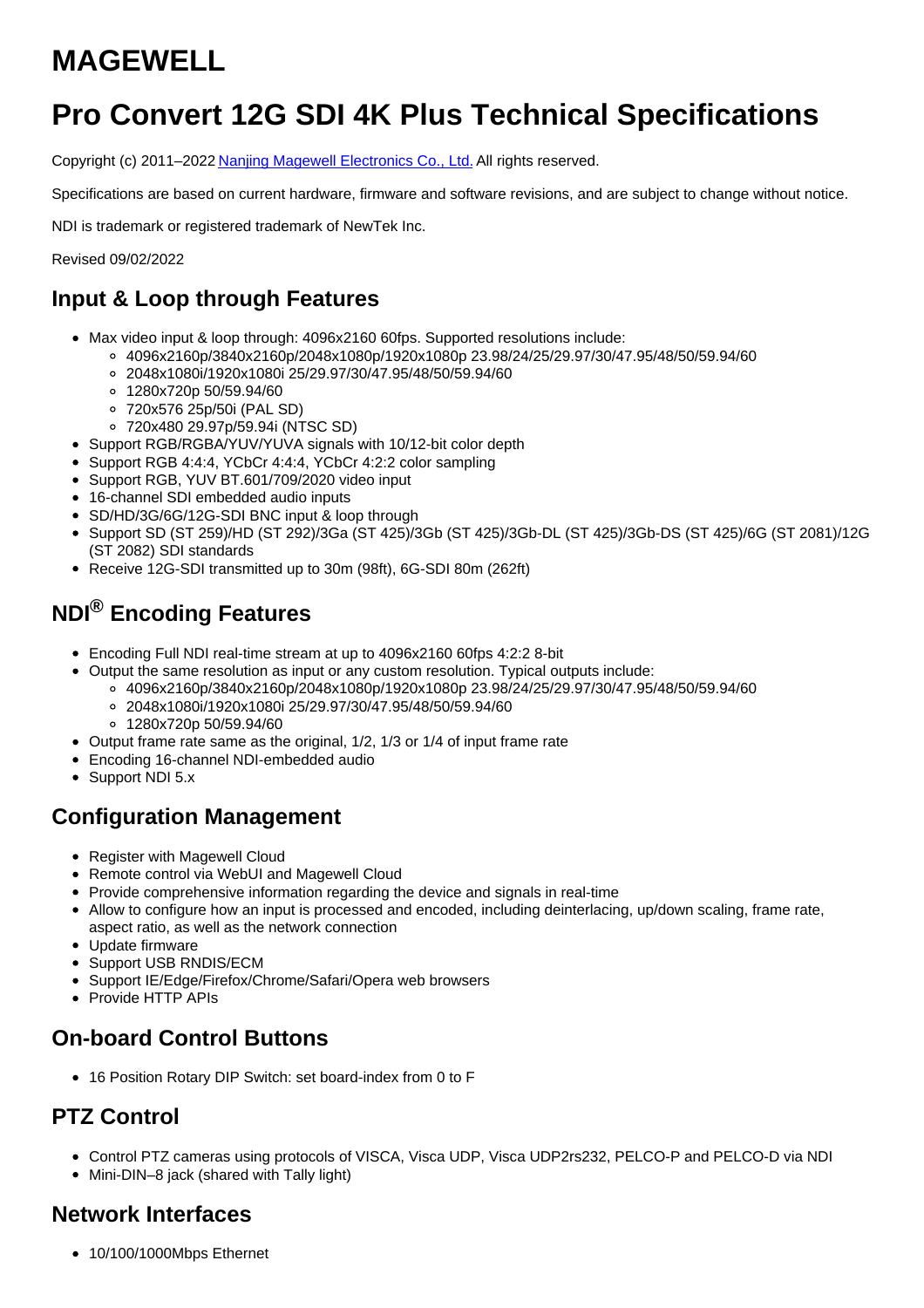# **MAGEWELL**

## **Pro Convert 12G SDI 4K Plus Technical Specifications**

Copyright (c) 2011–2022 Nanjing Magewell [Electronics](http://www.magewell.com) Co., Ltd. All rights reserved.

Specifications are based on current hardware, firmware and software revisions, and are subject to change without notice.

NDI is trademark or registered trademark of NewTek Inc.

Revised 09/02/2022

## **Input & Loop through Features**

- Max video input & loop through: 4096x2160 60fps. Supported resolutions include:
	- 4096x2160p/3840x2160p/2048x1080p/1920x1080p 23.98/24/25/29.97/30/47.95/48/50/59.94/60
	- 2048x1080i/1920x1080i 25/29.97/30/47.95/48/50/59.94/60
	- 1280x720p 50/59.94/60
	- 720x576 25p/50i (PAL SD)
	- 720x480 29.97p/59.94i (NTSC SD)
- Support RGB/RGBA/YUV/YUVA signals with 10/12-bit color depth
- Support RGB 4:4:4, YCbCr 4:4:4, YCbCr 4:2:2 color sampling
- Support RGB, YUV BT.601/709/2020 video input
- 16-channel SDI embedded audio inputs
- SD/HD/3G/6G/12G-SDI BNC input & loop through
- Support SD (ST 259)/HD (ST 292)/3Ga (ST 425)/3Gb (ST 425)/3Gb-DL (ST 425)/3Gb-DS (ST 425)/6G (ST 2081)/12G (ST 2082) SDI standards
- Receive 12G-SDI transmitted up to 30m (98ft), 6G-SDI 80m (262ft)

## **NDI® Encoding Features**

- Encoding Full NDI real-time stream at up to 4096x2160 60fps 4:2:2 8-bit
- Output the same resolution as input or any custom resolution. Typical outputs include:
	- 4096x2160p/3840x2160p/2048x1080p/1920x1080p 23.98/24/25/29.97/30/47.95/48/50/59.94/60 2048x1080i/1920x1080i 25/29.97/30/47.95/48/50/59.94/60
		- 1280x720p 50/59.94/60
- Output frame rate same as the original, 1/2, 1/3 or 1/4 of input frame rate
- Encoding 16-channel NDI-embedded audio
- Support NDI 5.x

#### **Configuration Management**

- Register with Magewell Cloud
- Remote control via WebUI and Magewell Cloud
- Provide comprehensive information regarding the device and signals in real-time
- Allow to configure how an input is processed and encoded, including deinterlacing, up/down scaling, frame rate, aspect ratio, as well as the network connection
- Update firmware
- Support USB RNDIS/ECM
- Support IE/Edge/Firefox/Chrome/Safari/Opera web browsers
- Provide HTTP APIs

#### **On-board Control Buttons**

16 Position Rotary DIP Switch: set board-index from 0 to F

## **PTZ Control**

- Control PTZ cameras using protocols of VISCA, Visca UDP, Visca UDP2rs232, PELCO-P and PELCO-D via NDI
- Mini-DIN–8 jack (shared with Tally light)

#### **Network Interfaces**

• 10/100/1000Mbps Ethernet